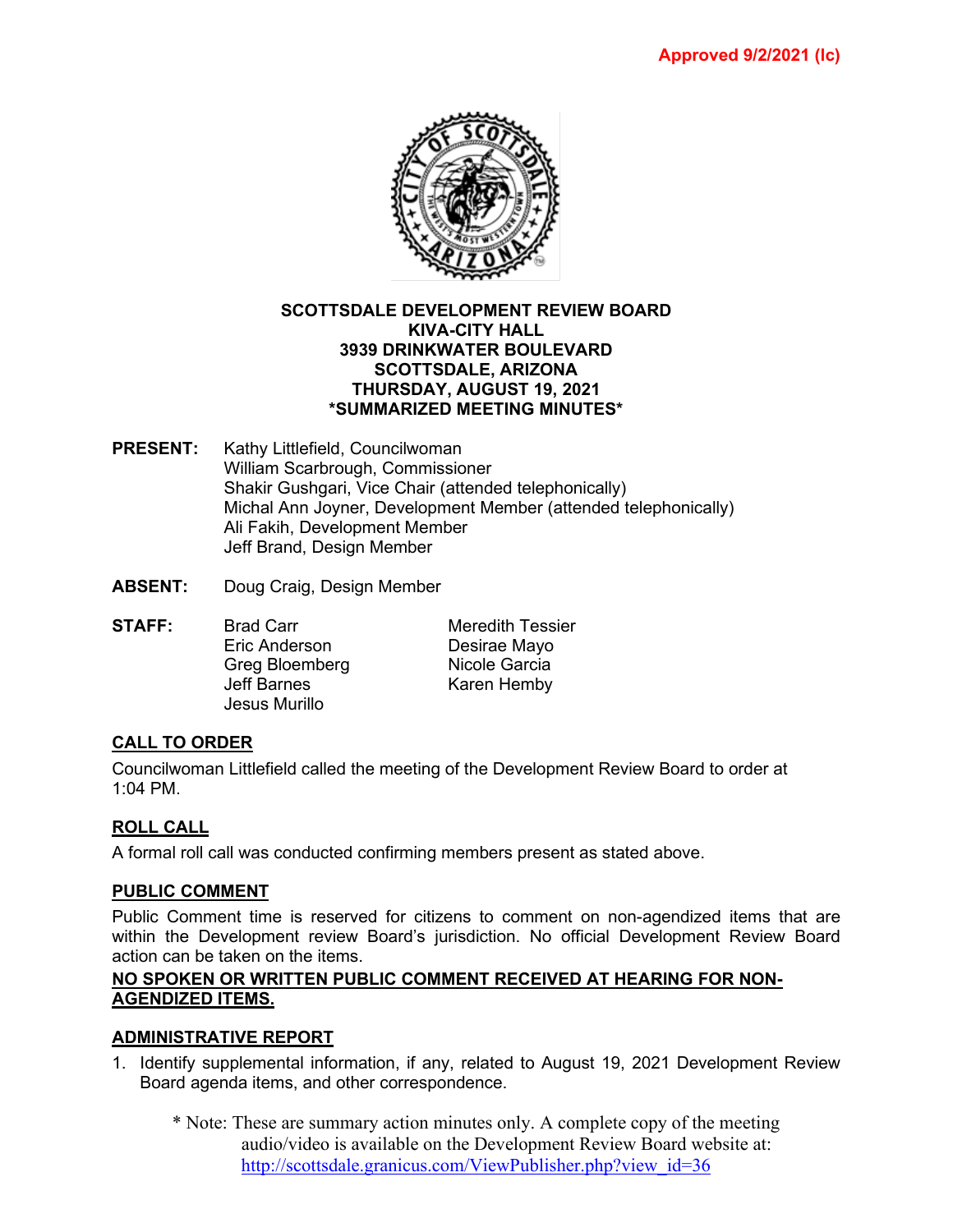

#### **SCOTTSDALE DEVELOPMENT REVIEW BOARD KIVA-CITY HALL 3939 DRINKWATER BOULEVARD SCOTTSDALE, ARIZONA THURSDAY, AUGUST 19, 2021 \*SUMMARIZED MEETING MINUTES\***

- **PRESENT:** Kathy Littlefield, Councilwoman William Scarbrough, Commissioner Shakir Gushgari, Vice Chair (attended telephonically) Michal Ann Joyner, Development Member (attended telephonically) Ali Fakih, Development Member Jeff Brand, Design Member
- **ABSENT:** Doug Craig, Design Member

**STAFF:** Brad Carr Meredith Tessier<br>
Fric Anderson Desirae Mavo Greg Bloemberg<br>Jeff Barnes Jesus Murillo

Desirae Mayo<br>Nicole Garcia Karen Hemby

# **CALL TO ORDER**

Councilwoman Littlefield called the meeting of the Development Review Board to order at 1:04 PM.

### **ROLL CALL**

A formal roll call was conducted confirming members present as stated above.

### **PUBLIC COMMENT**

Public Comment time is reserved for citizens to comment on non-agendized items that are within the Development review Board's jurisdiction. No official Development Review Board action can be taken on the items.

### **NO SPOKEN OR WRITTEN PUBLIC COMMENT RECEIVED AT HEARING FOR NON-AGENDIZED ITEMS.**

### **ADMINISTRATIVE REPORT**

- 1. Identify supplemental information, if any, related to August 19, 2021 Development Review Board agenda items, and other correspondence.
	- \* Note: These are summary action minutes only. A complete copy of the meeting audio/video is available on the Development Review Board website at: [http://scottsdale.granicus.com/ViewPublisher.php?view\\_id=36](http://scottsdale.granicus.com/ViewPublisher.php?view_id=36)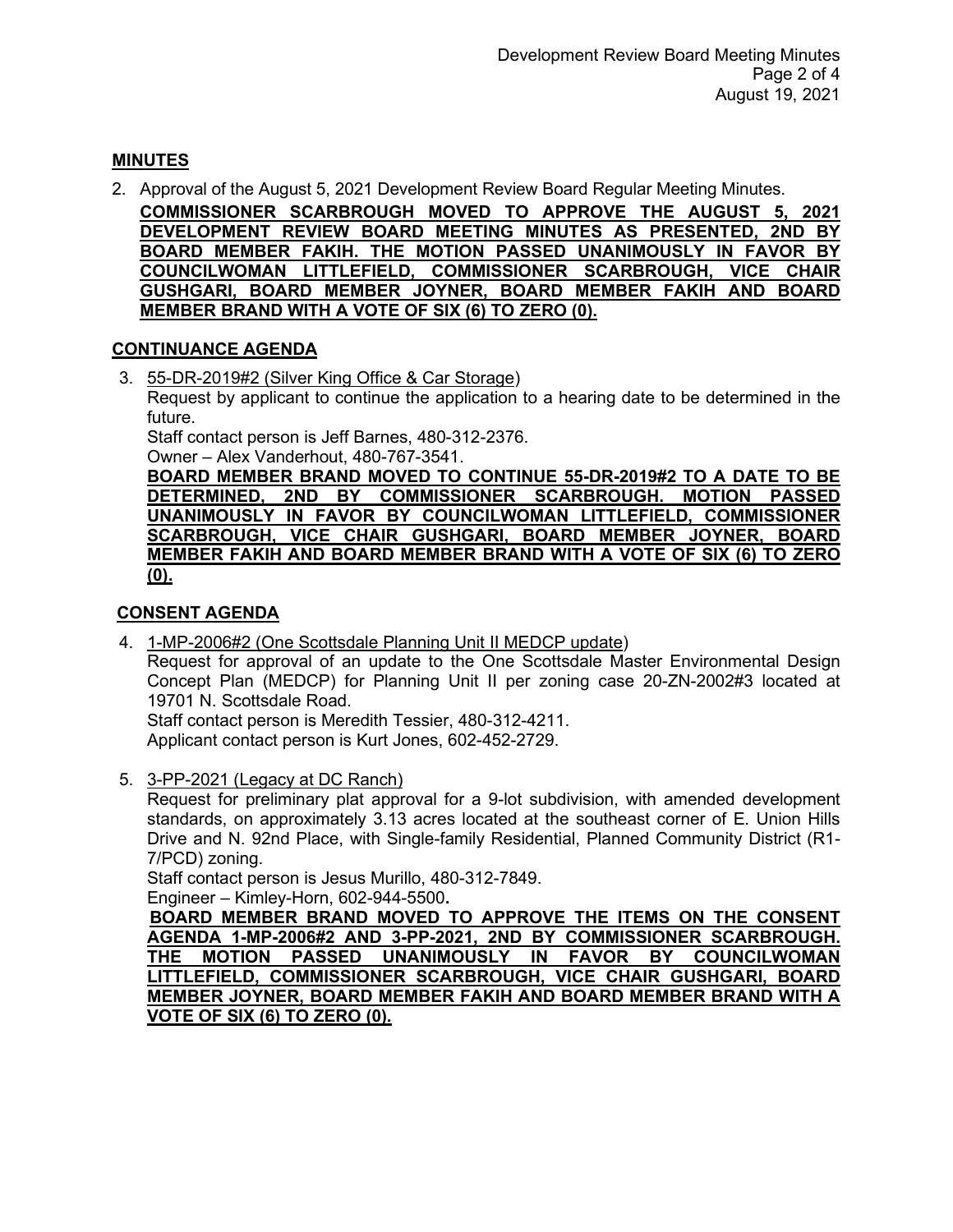## **MINUTES**

2. Approval of the August 5, 2021 Development Review Board Regular Meeting Minutes. **COMMISSIONER SCARBROUGH MOVED TO APPROVE THE AUGUST 5, 2021 DEVELOPMENT REVIEW BOARD MEETING MINUTES AS PRESENTED, 2ND BY BOARD MEMBER FAKIH. THE MOTION PASSED UNANIMOUSLY IN FAVOR BY COUNCILWOMAN LITTLEFIELD, COMMISSIONER SCARBROUGH, VICE CHAIR GUSHGARI, BOARD MEMBER JOYNER, BOARD MEMBER FAKIH AND BOARD MEMBER BRAND WITH A VOTE OF SIX (6) TO ZERO (0).**

### **CONTINUANCE AGENDA**

3. 55-DR-2019#2 (Silver King Office & Car Storage)

Request by applicant to continue the application to a hearing date to be determined in the future.

Staff contact person is Jeff Barnes, 480-312-2376. Owner – Alex Vanderhout, 480-767-3541.

**BOARD MEMBER BRAND MOVED TO CONTINUE 55-DR-2019#2 TO A DATE TO BE 2ND BY COMMISSIONER SCARBROUGH. UNANIMOUSLY IN FAVOR BY COUNCILWOMAN LITTLEFIELD, COMMISSIONER SCARBROUGH, VICE CHAIR GUSHGARI, BOARD MEMBER JOYNER, BOARD MEMBER FAKIH AND BOARD MEMBER BRAND WITH A VOTE OF SIX (6) TO ZERO (0).**

#### **CONSENT AGENDA**

4. 1-MP-2006#2 (One Scottsdale Planning Unit II MEDCP update) Request for approval of an update to the One Scottsdale Master Environmental Design Concept Plan (MEDCP) for Planning Unit II per zoning case 20-ZN-2002#3 located at 19701 N. Scottsdale Road. Staff contact person is Meredith Tessier, 480-312-4211.

Applicant contact person is Kurt Jones, 602-452-2729.

5. 3-PP-2021 (Legacy at DC Ranch)

Request for preliminary plat approval for a 9-lot subdivision, with amended development standards, on approximately 3.13 acres located at the southeast corner of E. Union Hills Drive and N. 92nd Place, with Single-family Residential, Planned Community District (R1- 7/PCD) zoning.

Staff contact person is Jesus Murillo, 480-312-7849. Engineer – Kimley-Horn, 602-944-5500**.** 

 **BOARD MEMBER BRAND MOVED TO APPROVE THE ITEMS ON THE CONSENT AGENDA 1-MP-2006#2 AND 3-PP-2021, 2ND BY COMMISSIONER SCARBROUGH. THE MOTION PASSED UNANIMOUSLY IN FAVOR BY COUNCILWOMAN LITTLEFIELD, COMMISSIONER SCARBROUGH, VICE CHAIR GUSHGARI, BOARD MEMBER JOYNER, BOARD MEMBER FAKIH AND BOARD MEMBER BRAND WITH A VOTE OF SIX (6) TO ZERO (0).**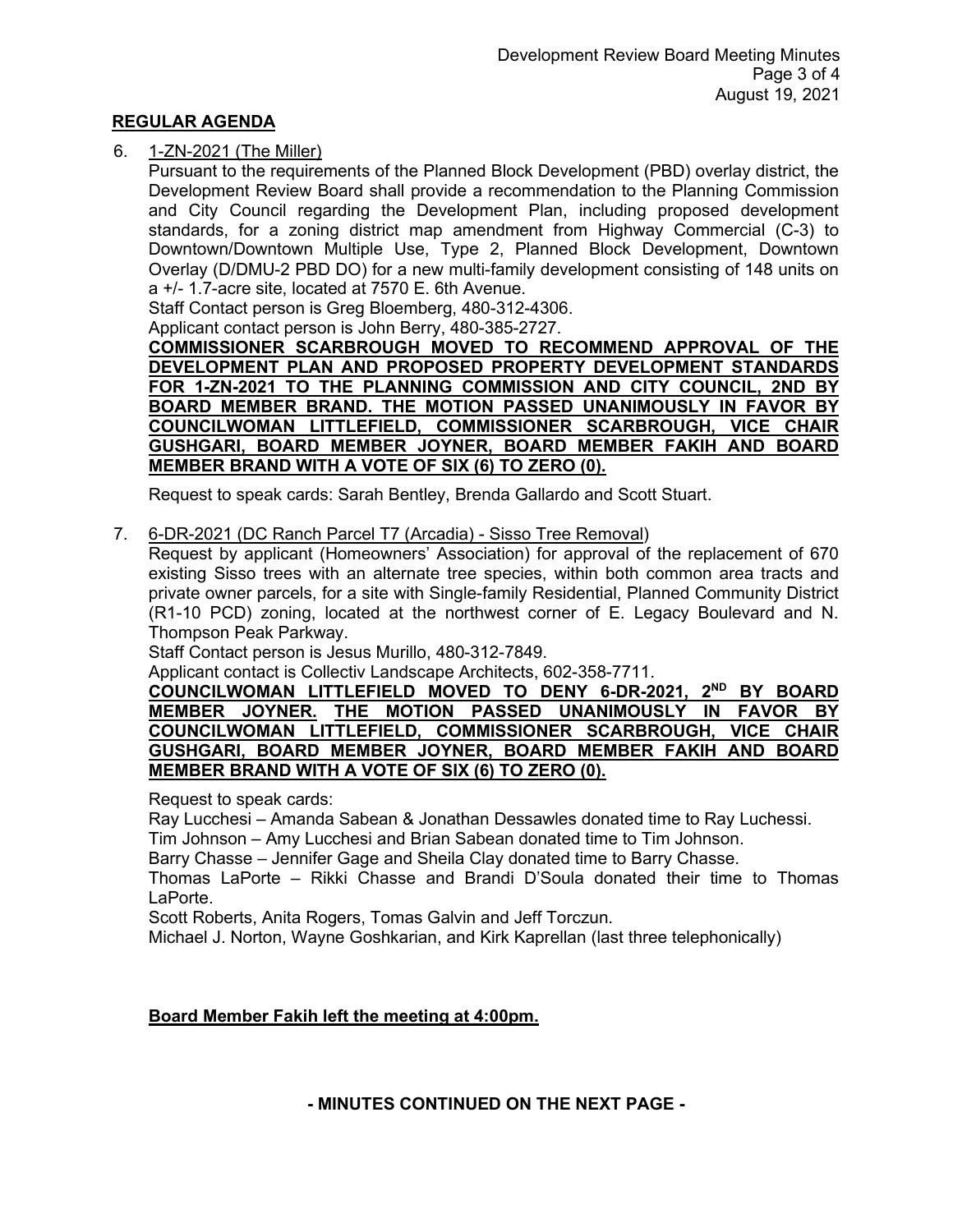#### **REGULAR AGENDA**

#### 6. 1-ZN-2021 (The Miller)

Pursuant to the requirements of the Planned Block Development (PBD) overlay district, the Development Review Board shall provide a recommendation to the Planning Commission and City Council regarding the Development Plan, including proposed development standards, for a zoning district map amendment from Highway Commercial (C-3) to Downtown/Downtown Multiple Use, Type 2, Planned Block Development, Downtown Overlay (D/DMU-2 PBD DO) for a new multi-family development consisting of 148 units on a +/- 1.7-acre site, located at 7570 E. 6th Avenue.

Staff Contact person is Greg Bloemberg, 480-312-4306.

Applicant contact person is John Berry, 480-385-2727.

**COMMISSIONER SCARBROUGH MOVED TO RECOMMEND APPROVAL OF THE DEVELOPMENT PLAN AND PROPOSED PROPERTY DEVELOPMENT STANDARDS FOR 1-ZN-2021 TO THE PLANNING COMMISSION AND CITY COUNCIL, 2ND BY BOARD MEMBER BRAND. THE MOTION PASSED UNANIMOUSLY IN FAVOR BY COUNCILWOMAN LITTLEFIELD, COMMISSIONER SCARBROUGH, VICE CHAIR GUSHGARI, BOARD MEMBER JOYNER, BOARD MEMBER FAKIH AND BOARD MEMBER BRAND WITH A VOTE OF SIX (6) TO ZERO (0).**

Request to speak cards: Sarah Bentley, Brenda Gallardo and Scott Stuart.

#### 7. 6-DR-2021 (DC Ranch Parcel T7 (Arcadia) - Sisso Tree Removal)

Request by applicant (Homeowners' Association) for approval of the replacement of 670 existing Sisso trees with an alternate tree species, within both common area tracts and private owner parcels, for a site with Single-family Residential, Planned Community District (R1-10 PCD) zoning, located at the northwest corner of E. Legacy Boulevard and N. Thompson Peak Parkway.

Staff Contact person is Jesus Murillo, 480-312-7849.

Applicant contact is Collectiv Landscape Architects, 602-358-7711.

**COUNCILWOMAN LITTLEFIELD MOVED TO DENY 6-DR-2021, 2ND BY BOARD MEMBER JOYNER. THE MOTION PASSED UNANIMOUSLY IN FAVOR BY COUNCILWOMAN LITTLEFIELD, COMMISSIONER SCARBROUGH, VICE CHAIR GUSHGARI, BOARD MEMBER JOYNER, BOARD MEMBER FAKIH AND BOARD MEMBER BRAND WITH A VOTE OF SIX (6) TO ZERO (0).**

Request to speak cards:

Ray Lucchesi – Amanda Sabean & Jonathan Dessawles donated time to Ray Luchessi.

Tim Johnson – Amy Lucchesi and Brian Sabean donated time to Tim Johnson.

Barry Chasse – Jennifer Gage and Sheila Clay donated time to Barry Chasse.

Thomas LaPorte – Rikki Chasse and Brandi D'Soula donated their time to Thomas LaPorte.

Scott Roberts, Anita Rogers, Tomas Galvin and Jeff Torczun.

Michael J. Norton, Wayne Goshkarian, and Kirk Kaprellan (last three telephonically)

#### **Board Member Fakih left the meeting at 4:00pm.**

**- MINUTES CONTINUED ON THE NEXT PAGE -**